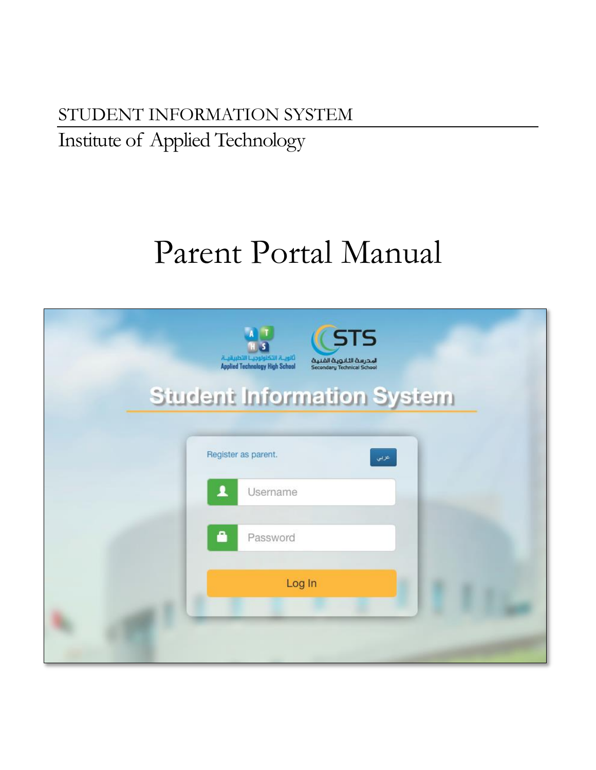# STUDENT INFORMATION SYSTEM Institute of Applied Technology

# Parent Portal Manual

| <b>Applied Technology High School</b> | <b>STS</b><br>المحرسة الثانوية الفنية<br>Secondary Technical School |
|---------------------------------------|---------------------------------------------------------------------|
|                                       | <b>Student Information System</b>                                   |
| Register as parent.<br>2              | عزبي<br>Username                                                    |
| 8                                     | Password                                                            |
|                                       | Log In                                                              |
|                                       |                                                                     |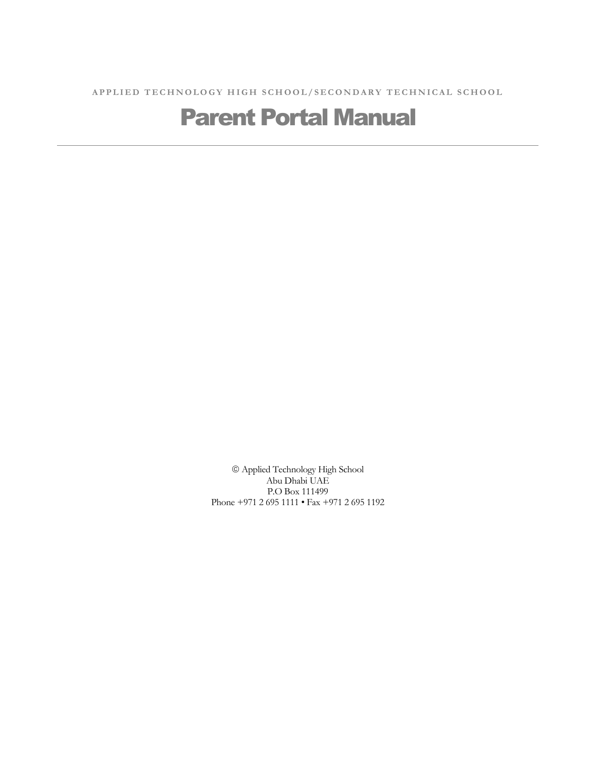A P P L I ED T E C H N O L O G Y H I G H S C H O O L / S E C O N D A R Y T E C H N I C A L S C H O O L

## Parent Portal Manual

 Applied Technology High School Abu Dhabi UAE P.O Box 111499 Phone +971 2 695 1111 • Fax +971 2 695 1192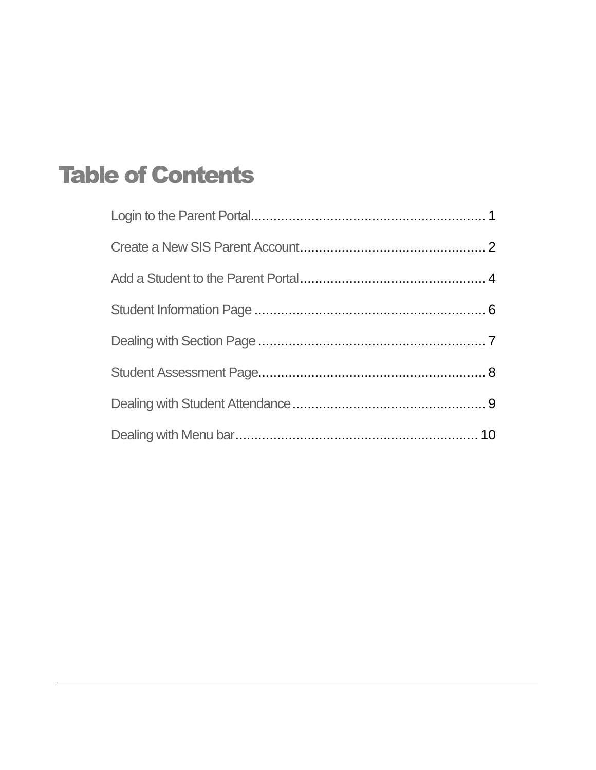# Table of Contents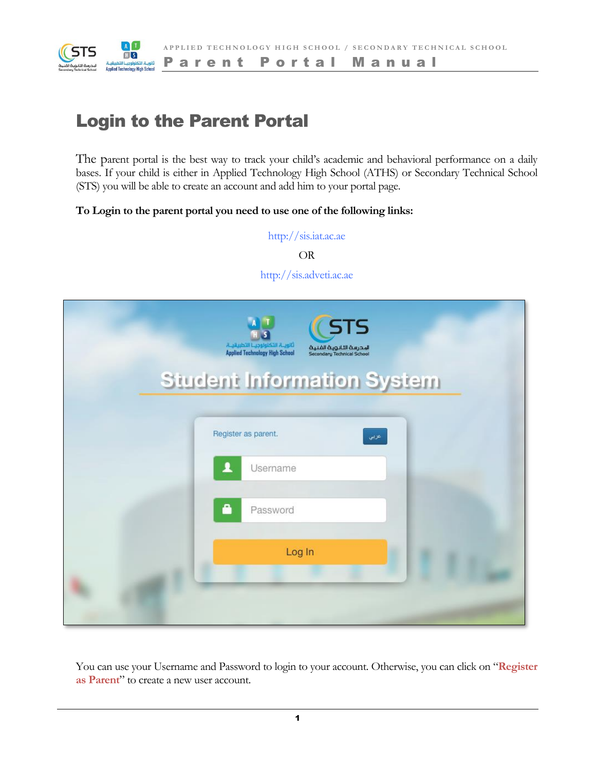

P a r e n t P o r t a l M a n u a l

### Login to the Parent Portal

The parent portal is the best way to track your child's academic and behavioral performance on a daily bases. If your child is either in Applied Technology High School (ATHS) or Secondary Technical School (STS) you will be able to create an account and add him to your portal page.

#### **To Login to the parent portal you need to use one of the following links:**

http://sis.iat.ac.ae OR

http://sis.adveti.ac.ae

| <b>STS</b><br>المحرسة الثانوية الفنية<br>Secondary Technical School |  |
|---------------------------------------------------------------------|--|
| <b>Student Information System</b>                                   |  |
| Register as parent.<br>عزبى<br>2<br>Username<br>8<br>Password       |  |
| Log In                                                              |  |

You can use your Username and Password to login to your account. Otherwise, you can click on "**Register as Parent**" to create a new user account.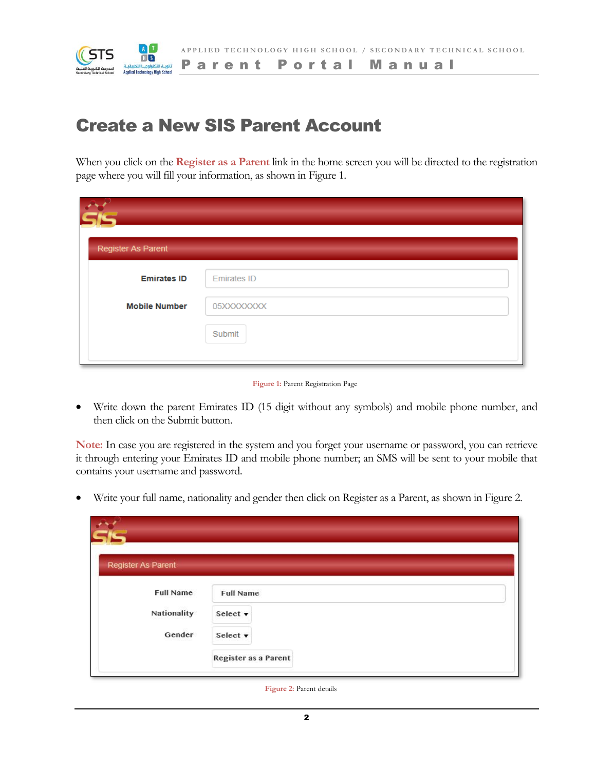

#### P a r e n t P o r t a l M a n u a l

### Create a New SIS Parent Account

When you click on the **Register as a Parent** link in the home screen you will be directed to the registration page where you will fill your information, as shown in Figure 1.

| Register As Parent   |                    |
|----------------------|--------------------|
| <b>Emirates ID</b>   | <b>Emirates ID</b> |
| <b>Mobile Number</b> | 05XXXXXXXX         |
|                      | Submit             |
|                      |                    |



 Write down the parent Emirates ID (15 digit without any symbols) and mobile phone number, and then click on the Submit button.

**Note:** In case you are registered in the system and you forget your username or password, you can retrieve it through entering your Emirates ID and mobile phone number; an SMS will be sent to your mobile that contains your username and password.

Write your full name, nationality and gender then click on Register as a Parent, as shown in Figure 2.

| Register As Parent |                      |  |
|--------------------|----------------------|--|
| <b>Full Name</b>   | <b>Full Name</b>     |  |
| Nationality        | Select v             |  |
| Gender             | Select v             |  |
|                    | Register as a Parent |  |

**Figure 2:** Parent details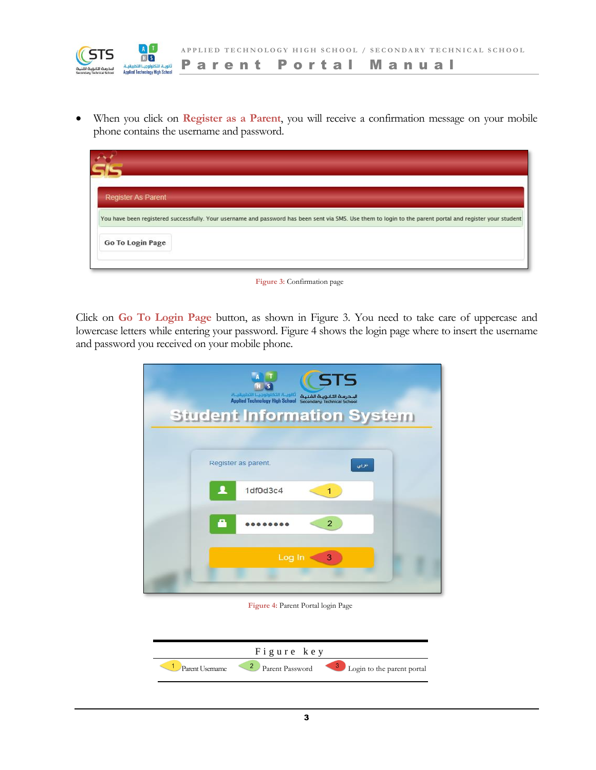

**A P P L I E D T E C H N O L O G Y H I G H S C H O O L / S E C O N D A R Y T E C H N I C A L S C H O O L**

P a r e n t P o r t a l M a n u a l

 When you click on **Register as a Parent**, you will receive a confirmation message on your mobile phone contains the username and password.

| Register As Parent |                                                                                                                                                           |
|--------------------|-----------------------------------------------------------------------------------------------------------------------------------------------------------|
|                    | You have been registered successfully. Your username and password has been sent via SMS. Use them to login to the parent portal and register your student |
| Go To Login Page   |                                                                                                                                                           |
|                    |                                                                                                                                                           |

**Figure 3:** Confirmation page

Click on **Go To Login Page** button, as shown in Figure 3. You need to take care of uppercase and lowercase letters while entering your password. Figure 4 shows the login page where to insert the username and password you received on your mobile phone.

| <b>STS</b><br>تالوب التكنولوجي التطبيقية<br>المحرسة الثانوية الفنية<br>Applied Technology High School Secondary Technical School<br><b>Student Information System</b> |
|-----------------------------------------------------------------------------------------------------------------------------------------------------------------------|
| Register as parent.<br>عربي<br>1df0d3c4<br>고<br>1                                                                                                                     |
| ≏<br>$\overline{2}$                                                                                                                                                   |
| Log In<br>3                                                                                                                                                           |

**Figure 4:** Parent Portal login Page

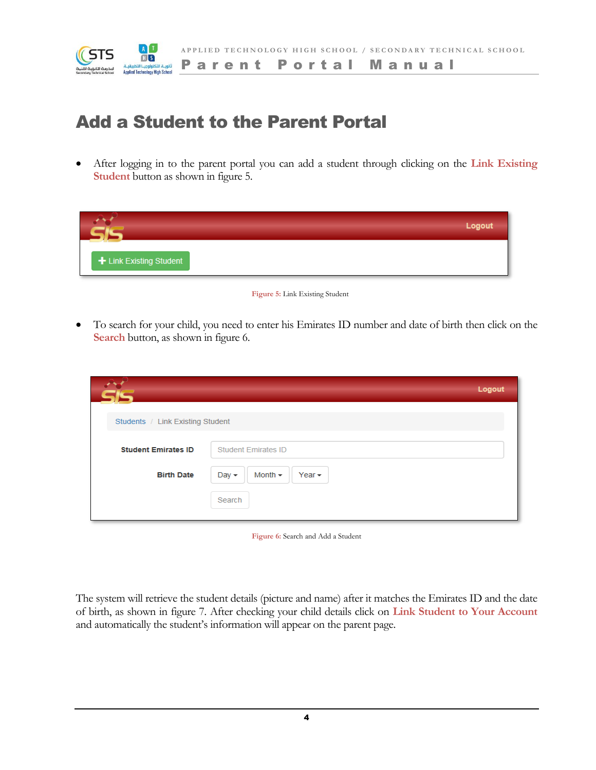

### Add a Student to the Parent Portal

 After logging in to the parent portal you can add a student through clicking on the **Link Existing Student** button as shown in figure 5.

|                         | Logout |
|-------------------------|--------|
| + Link Existing Student |        |

#### **Figure 5:** Link Existing Student

 To search for your child, you need to enter his Emirates ID number and date of birth then click on the **Search** button, as shown in figure 6.

|                                  |                                             | Logout |
|----------------------------------|---------------------------------------------|--------|
| Students / Link Existing Student |                                             |        |
| <b>Student Emirates ID</b>       | <b>Student Emirates ID</b>                  |        |
| <b>Birth Date</b>                | Month $\sim$<br>Day $\star$<br>Year $\star$ |        |
|                                  | Search                                      |        |
|                                  |                                             |        |

**Figure 6:** Search and Add a Student

The system will retrieve the student details (picture and name) after it matches the Emirates ID and the date of birth, as shown in figure 7. After checking your child details click on **Link Student to Your Account** and automatically the student's information will appear on the parent page.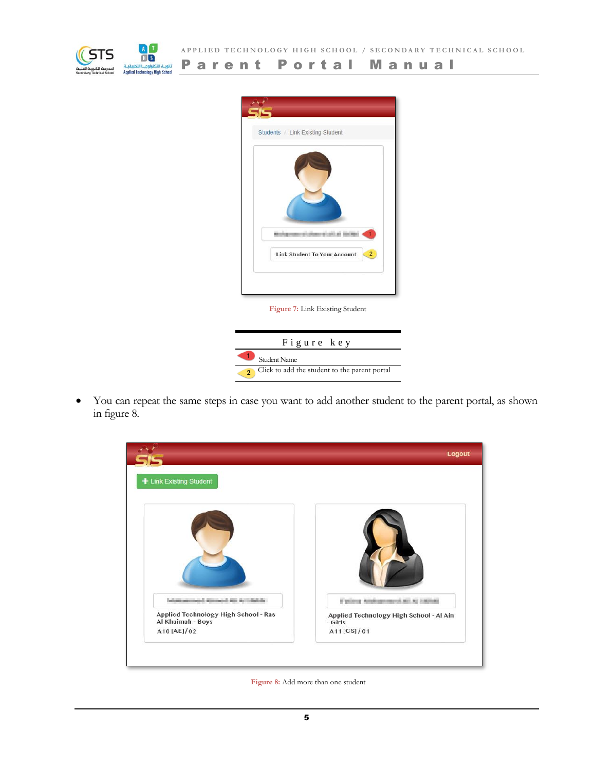



**Figure 7:** Link Existing Student

| Figure key                                    |
|-----------------------------------------------|
| Student Name                                  |
| Click to add the student to the parent portal |

 You can repeat the same steps in case you want to add another student to the parent portal, as shown in figure 8.



**Figure 8:** Add more than one student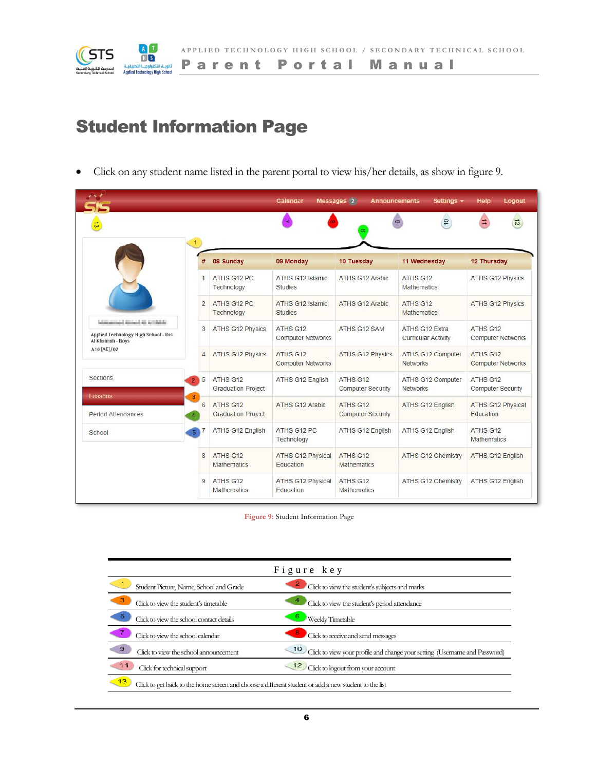

### Student Information Page

Click on any student name listed in the parent portal to view his/her details, as show in figure 9.

|                                                                                                     |                |                                       | Calendar                              | Messages 2<br><b>Announcements</b>   | Settings -                                   | Logout<br>Help                       |
|-----------------------------------------------------------------------------------------------------|----------------|---------------------------------------|---------------------------------------|--------------------------------------|----------------------------------------------|--------------------------------------|
|                                                                                                     |                |                                       |                                       |                                      | $\overline{10}$                              | $\vec{z}$                            |
|                                                                                                     | 1<br>#         | 08 Sunday                             | 09 Monday                             | 10 Tuesday                           | 11 Wednesday                                 | 12 Thursday                          |
|                                                                                                     | $\overline{1}$ | ATHS G12 PC<br>Technology             | ATHS G12 Islamic<br><b>Studies</b>    | ATHS G12 Arabic                      | ATHS G12<br><b>Mathematics</b>               | <b>ATHS G12 Physics</b>              |
|                                                                                                     | $\overline{2}$ | ATHS G12 PC<br>Technology             | ATHS G12 Islamic<br><b>Studies</b>    | ATHS G12 Arabic                      | ATHS G12<br><b>Mathematics</b>               | <b>ATHS G12 Physics</b>              |
| shakespeared attempted att Articularly<br>Applied Technology High School - Ras<br>Al Khaimah - Boys | 3              | <b>ATHS G12 Physics</b>               | ATHS G12<br><b>Computer Networks</b>  | ATHS G12 SAM                         | ATHS G12 Extra<br><b>Curricular Activity</b> | ATHS G12<br><b>Computer Networks</b> |
| A10 [AE]/02                                                                                         | $\overline{4}$ | <b>ATHS G12 Physics</b>               | ATHS G12<br><b>Computer Networks</b>  | <b>ATHS G12 Physics</b>              | ATHS G12 Computer<br><b>Networks</b>         | ATHS G12<br><b>Computer Networks</b> |
| Sections                                                                                            | 5              | ATHS G12<br><b>Graduation Project</b> | ATHS G12 English                      | ATHS G12<br><b>Computer Security</b> | ATHS G12 Computer<br><b>Networks</b>         | ATHS G12<br><b>Computer Security</b> |
| Lessons<br><b>Period Attendances</b>                                                                | 3<br>6         | ATHS G12<br><b>Graduation Project</b> | <b>ATHS G12 Arabic</b>                | ATHS G12<br><b>Computer Security</b> | ATHS G12 English                             | ATHS G12 Physical<br>Education       |
| School                                                                                              | 5              | ATHS G12 English                      | ATHS G12 PC<br>Technology             | ATHS G12 English                     | ATHS G12 English                             | ATHS G12<br><b>Mathematics</b>       |
|                                                                                                     | 8              | ATHS G12<br><b>Mathematics</b>        | <b>ATHS G12 Physical</b><br>Education | ATHS G12<br><b>Mathematics</b>       | <b>ATHS G12 Chemistry</b>                    | ATHS G12 English                     |
|                                                                                                     | 9              | ATHS G12<br><b>Mathematics</b>        | <b>ATHS G12 Physical</b><br>Education | ATHS G12<br><b>Mathematics</b>       | ATHS G12 Chemistry                           | ATHS G12 English                     |

**Figure 9:** Student Information Page

| Figure key                                                                                           |                                                                                 |  |  |  |
|------------------------------------------------------------------------------------------------------|---------------------------------------------------------------------------------|--|--|--|
| Student Picture, Name, School and Grade                                                              | Click to view the student's subjects and marks                                  |  |  |  |
| Click to view the student's timetable                                                                | Click to view the student's period attendance                                   |  |  |  |
| Click to view the school contact details                                                             | Weekly Timetable                                                                |  |  |  |
| Click to view the school calendar                                                                    | Click to receive and send messages                                              |  |  |  |
| 9<br>Click to view the school announcement                                                           | 10<br>Click to view your profile and change your setting (Usemame and Password) |  |  |  |
| 11<br>Click for technical support                                                                    | 12<br>Click to logout from your account                                         |  |  |  |
| Click to get back to the home screen and choose a different student or add a new student to the list |                                                                                 |  |  |  |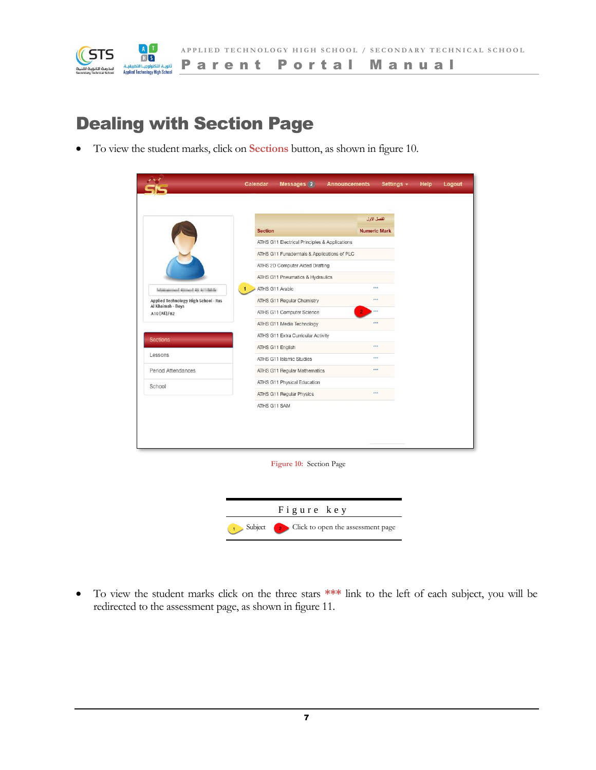

### Dealing with Section Page

To view the student marks, click on **Sections** button, as shown in figure 10.

|                                      |                                               | الفصل الاول         |  |  |  |
|--------------------------------------|-----------------------------------------------|---------------------|--|--|--|
|                                      | <b>Section</b>                                | <b>Numeric Mark</b> |  |  |  |
|                                      | ATHS G11 Electrical Principles & Applications |                     |  |  |  |
|                                      | ATHS G11 Funademtals & Applications of PLC    |                     |  |  |  |
|                                      | ATHS 2D Computer Aided Drafting               |                     |  |  |  |
|                                      | ATHS G11 Pneumatics & Hydraulics              |                     |  |  |  |
| and Alexandr All Art (Alexandr       | ATHS G11 Arabic                               | <b>WAA</b>          |  |  |  |
| Applied Technology High School - Ras | ATHS G11 Regular Chemistry                    | <b>With</b>         |  |  |  |
| Al Khaimah - Boys<br>A10 [AE]/02     | ATHS G11 Computer Science                     |                     |  |  |  |
|                                      | ATHS G11 Media Technology                     | $\overline{a}$      |  |  |  |
| Sections <b>Sections</b>             | ATHS G11 Extra Curricular Activity            |                     |  |  |  |
|                                      | ATHS G11 English                              | <b>WAA</b>          |  |  |  |
| Lessons                              | ATHS G11 Islamic Studies                      | $\overline{111}$    |  |  |  |
| Period Attendances                   | ATHS G11 Regular Mathematics                  | <b>WAY</b>          |  |  |  |
| School                               | ATHS G11 Physical Education                   |                     |  |  |  |
|                                      | ATHS G11 Regular Physics                      | <b>SAA</b>          |  |  |  |
|                                      | ATHS G11 SAM                                  |                     |  |  |  |
|                                      |                                               |                     |  |  |  |
|                                      |                                               |                     |  |  |  |
|                                      |                                               |                     |  |  |  |
|                                      |                                               |                     |  |  |  |
|                                      | Figure 10: Section Page                       |                     |  |  |  |
|                                      |                                               |                     |  |  |  |
|                                      |                                               |                     |  |  |  |

 To view the student marks click on the three stars **\*\*\*** link to the left of each subject, you will be redirected to the assessment page, as shown in figure 11.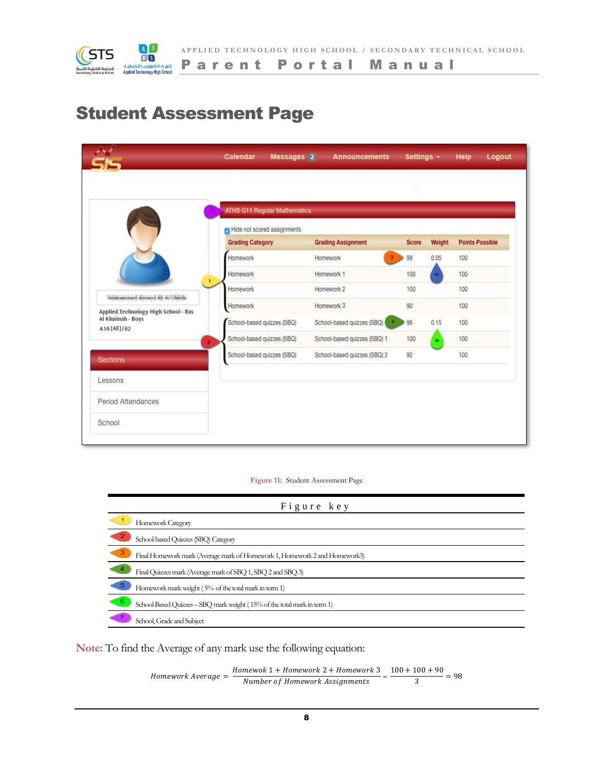

### Student Assessment Page

|                                                                                 | <b>ATHS G11 Regular Mathematics</b> |                                              |              |           |                        |
|---------------------------------------------------------------------------------|-------------------------------------|----------------------------------------------|--------------|-----------|------------------------|
|                                                                                 | Hide not scored assignments         |                                              |              |           |                        |
|                                                                                 | <b>Grading Category</b>             | <b>Grading Assignment</b>                    | <b>Score</b> | Weight    | <b>Points Possible</b> |
|                                                                                 | Homework                            | Homework<br>$\mathbf{3}$                     | 98           | 0.05      | 100                    |
|                                                                                 | Homework                            | Homework 1                                   | 100          | in.       | 100                    |
|                                                                                 | Homework                            | Homework 2                                   | 100          |           | 100                    |
| Informational Associated Att Articledge<br>Applied Technology High School - Ras | Homework                            | Homework 3                                   | 90           |           | 100                    |
| Al Khaimah - Boys<br>A10 [AE]/02                                                | School-based quizzes (SBQ)          | School-based quizzes (SBQ)<br>$\overline{A}$ | 96           | 0.15      | 100                    |
|                                                                                 | School-based quizzes (SBQ)<br>2     | School-based quizzes (SBQ) 1                 | 100          | $\bullet$ | 100                    |
| <b>Sections</b>                                                                 | School-based quizzes (SBQ)          | School-based quizzes (SBQ) 2                 | 92           |           | 100                    |
| Lessons                                                                         |                                     |                                              |              |           |                        |
|                                                                                 |                                     |                                              |              |           |                        |
| Period Attendances                                                              |                                     |                                              |              |           |                        |

**Figure 11:** Student Assessment Page

| Figure key                                                                      |  |  |  |  |
|---------------------------------------------------------------------------------|--|--|--|--|
| Homework Category                                                               |  |  |  |  |
| School-based Quizzes (SBQ) Category                                             |  |  |  |  |
| 3<br>Final Homework mark (Average mark of Homework 1, Homework 2 and Homework3) |  |  |  |  |
| Final Quizzes mark (Average mark of SBQ 1, SBQ 2 and SBQ 3)                     |  |  |  |  |
| 5<br>Homework mark weight (5% of the total mark in term 1)                      |  |  |  |  |
| School Based Quizzes - SBQ mark weight (15% of the total mark in term 1)        |  |  |  |  |
| School, Grade and Subject                                                       |  |  |  |  |

**Note:** To find the Average of any mark use the following equation:

$$
Homework \text{ Average} = \frac{Homewok \text{ } 1 + Homework \text{ } 2 + Homework \text{ } 3}{Number \text{ } of \text{ } Homework \text{ } Assignments} = \frac{100 + 100 + 90}{3} = 98
$$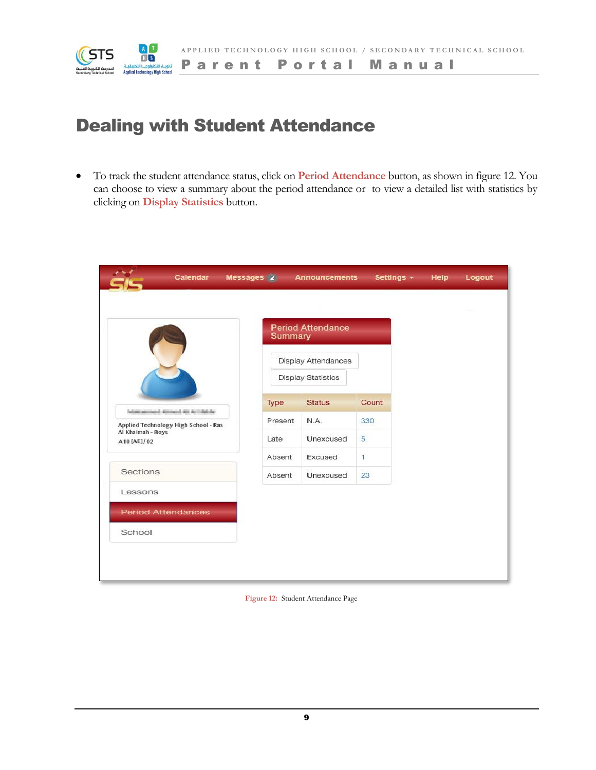

### Dealing with Student Attendance

 To track the student attendance status, click on **Period Attendance** button, as shown in figure 12. You can choose to view a summary about the period attendance or to view a detailed list with statistics by clicking on **Display Statistics** button.

| Calendar                             | Messages 2          | <b>Announcements</b>      | Settings - Help |  | Logout |
|--------------------------------------|---------------------|---------------------------|-----------------|--|--------|
|                                      |                     |                           |                 |  |        |
|                                      | Summary             | <b>Period Attendance</b>  |                 |  |        |
|                                      | Display Attendances |                           |                 |  |        |
|                                      |                     | <b>Display Statistics</b> |                 |  |        |
| Information and American function of | Type                | <b>Status</b>             | Count           |  |        |
| Applied Technology High School - Ras | Present             | N.A.                      | 330             |  |        |
| Al Khaimah - Boys<br>A10 [AE]/02     | Late                | Unexcused                 | 5               |  |        |
|                                      | Absent              | Excused                   | $\mathbf{1}$    |  |        |
| Sections                             | Absent              | Unexcused                 | 23              |  |        |
| Lessons                              |                     |                           |                 |  |        |
| <b>Period Attendances</b>            |                     |                           |                 |  |        |
| School                               |                     |                           |                 |  |        |
|                                      |                     |                           |                 |  |        |
|                                      |                     |                           |                 |  |        |

**Figure 12:** Student Attendance Page